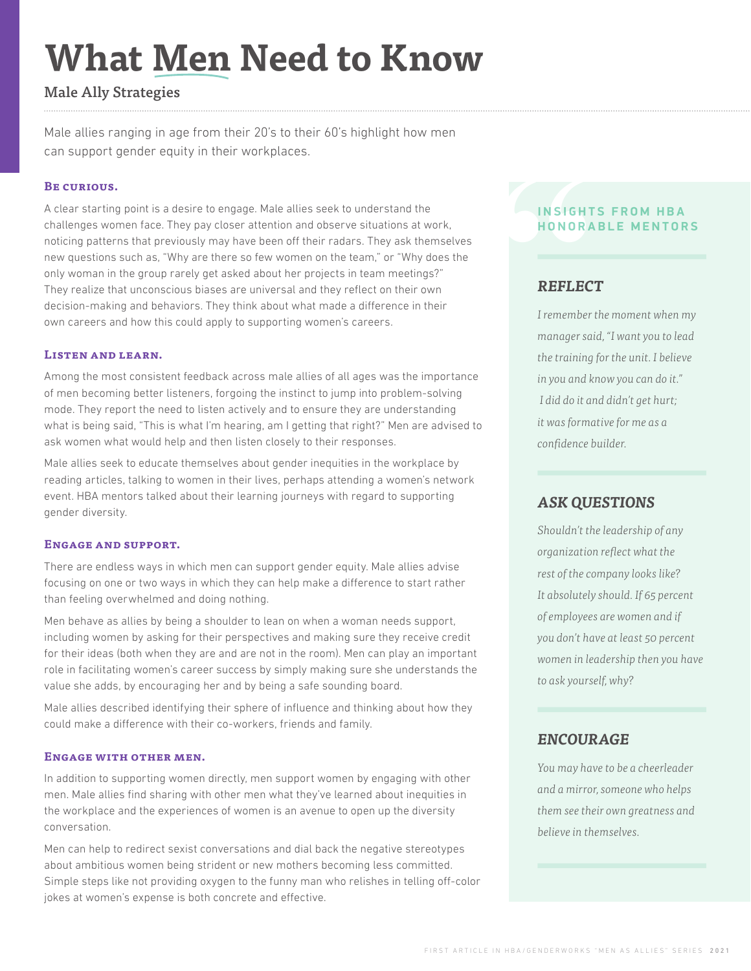# **What Men Need to Know**

# Male Ally Strategies

Male allies ranging in age from their 20's to their 60's highlight how men can support gender equity in their workplaces.

## **Be curious.**

A clear starting point is a desire to engage. Male allies seek to understand the challenges women face. They pay closer attention and observe situations at work, noticing patterns that previously may have been off their radars. They ask themselves new questions such as, "Why are there so few women on the team," or "Why does the only woman in the group rarely get asked about her projects in team meetings?" They realize that unconscious biases are universal and they reflect on their own decision-making and behaviors. They think about what made a difference in their own careers and how this could apply to supporting women's careers.

## **Listen and learn.**

Among the most consistent feedback across male allies of all ages was the importance of men becoming better listeners, forgoing the instinct to jump into problem-solving mode. They report the need to listen actively and to ensure they are understanding what is being said, "This is what I'm hearing, am I getting that right?" Men are advised to ask women what would help and then listen closely to their responses.

Male allies seek to educate themselves about gender inequities in the workplace by reading articles, talking to women in their lives, perhaps attending a women's network event. HBA mentors talked about their learning journeys with regard to supporting gender diversity.

### **Engage and support.**

There are endless ways in which men can support gender equity. Male allies advise focusing on one or two ways in which they can help make a difference to start rather than feeling overwhelmed and doing nothing.

Men behave as allies by being a shoulder to lean on when a woman needs support, including women by asking for their perspectives and making sure they receive credit for their ideas (both when they are and are not in the room). Men can play an important role in facilitating women's career success by simply making sure she understands the value she adds, by encouraging her and by being a safe sounding board.

Male allies described identifying their sphere of influence and thinking about how they could make a difference with their co-workers, friends and family.

### **Engage with other men.**

In addition to supporting women directly, men support women by engaging with other men. Male allies find sharing with other men what they've learned about inequities in the workplace and the experiences of women is an avenue to open up the diversity conversation.

Men can help to redirect sexist conversations and dial back the negative stereotypes about ambitious women being strident or new mothers becoming less committed. Simple steps like not providing oxygen to the funny man who relishes in telling off-color jokes at women's expense is both concrete and effective.

## **INSIGHTS FROM HBA HONORABLE MENTORS**

# *REFLECT*

**INSIGHT**<br> **HONORA**<br> **REFLEC**<br> *I* remember<br>
manager sai *I remember the moment when my manager said, "I want you to lead the training for the unit. I believe in you and know you can do it." I did do it and didn't get hurt; it was formative for me as a confidence builder.*

## *ASK QUESTIONS*

*Shouldn't the leadership of any organization reflect what the rest of the company looks like? It absolutely should. If 65 percent of employees are women and if you don't have at least 50 percent women in leadership then you have to ask yourself, why?*

## *ENCOURAGE*

*You may have to be a cheerleader and a mirror, someone who helps them see their own greatness and believe in themselves.*